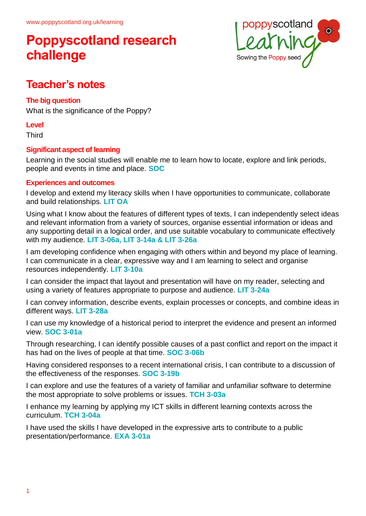

### **Teacher's notes**

### **The big question**

What is the significance of the Poppy?

#### **Level**

**Third** 

### **Significant aspect of learning**

Learning in the social studies will enable me to learn how to locate, explore and link periods, people and events in time and place. **SOC**

#### **Experiences and outcomes**

I develop and extend my literacy skills when I have opportunities to communicate, collaborate and build relationships. **LIT OA**

Using what I know about the features of different types of texts, I can independently select ideas and relevant information from a variety of sources, organise essential information or ideas and any supporting detail in a logical order, and use suitable vocabulary to communicate effectively with my audience. **LIT 3-06a, LIT 3-14a & LIT 3-26a**

I am developing confidence when engaging with others within and beyond my place of learning. I can communicate in a clear, expressive way and I am learning to select and organise resources independently. **LIT 3-10a**

I can consider the impact that layout and presentation will have on my reader, selecting and using a variety of features appropriate to purpose and audience. **LIT 3-24a**

I can convey information, describe events, explain processes or concepts, and combine ideas in different ways. **LIT 3-28a**

I can use my knowledge of a historical period to interpret the evidence and present an informed view. **SOC 3-01a**

Through researching, I can identify possible causes of a past conflict and report on the impact it has had on the lives of people at that time. **SOC 3-06b**

Having considered responses to a recent international crisis, I can contribute to a discussion of the effectiveness of the responses. **SOC 3-19b**

I can explore and use the features of a variety of familiar and unfamiliar software to determine the most appropriate to solve problems or issues. **TCH 3-03a**

I enhance my learning by applying my ICT skills in different learning contexts across the curriculum. **TCH 3-04a**

I have used the skills I have developed in the expressive arts to contribute to a public presentation/performance. **EXA 3-01a**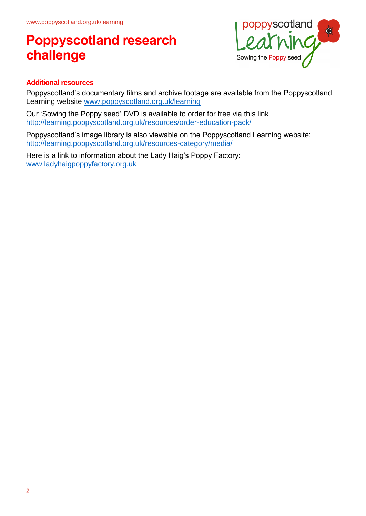

### **Additional resources**

Poppyscotland's documentary films and archive footage are available from the Poppyscotland Learning website www.poppyscotland.org.uk/learning

Our 'Sowing the Poppy seed' DVD is available to order for free via this link <http://learning.poppyscotland.org.uk/resources/order-education-pack/>

Poppyscotland's image library is also viewable on the Poppyscotland Learning website: <http://learning.poppyscotland.org.uk/resources-category/media/>

Here is a link to information about the Lady Haig's Poppy Factory: [www.ladyhaigpoppyfactory.org.uk](http://www.ladyhaigpoppyfactory.org.uk/)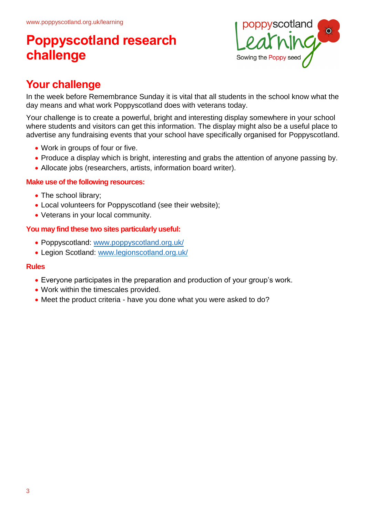

## **Your challenge**

In the week before Remembrance Sunday it is vital that all students in the school know what the day means and what work Poppyscotland does with veterans today.

Your challenge is to create a powerful, bright and interesting display somewhere in your school where students and visitors can get this information. The display might also be a useful place to advertise any fundraising events that your school have specifically organised for Poppyscotland.

- Work in groups of four or five.
- Produce a display which is bright, interesting and grabs the attention of anyone passing by.
- Allocate jobs (researchers, artists, information board writer).

#### **Make use of the following resources:**

- The school library;
- Local volunteers for Poppyscotland (see their website);
- Veterans in your local community.

#### **You may find these two sites particularly useful:**

- Poppyscotland: [www.poppyscotland.org.uk/](http://www.poppyscotland.org.uk/)
- Legion Scotland: [www.legionscotland.org.uk/](http://www.legionscotland.org.uk/)

#### **Rules**

- Everyone participates in the preparation and production of your group's work.
- Work within the timescales provided.
- Meet the product criteria have you done what you were asked to do?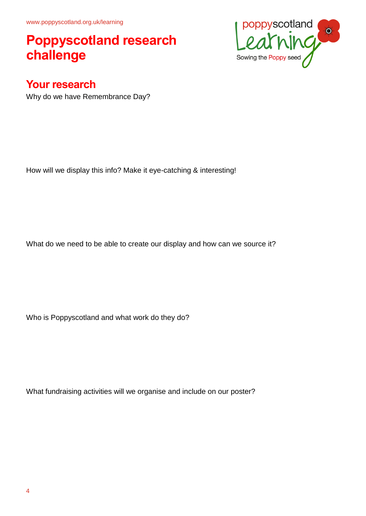www.poppyscotland.org.uk/learning

## **Poppyscotland research challenge**



Why do we have Remembrance Day?

How will we display this info? Make it eye-catching & interesting!

What do we need to be able to create our display and how can we source it?

Who is Poppyscotland and what work do they do?

What fundraising activities will we organise and include on our poster?

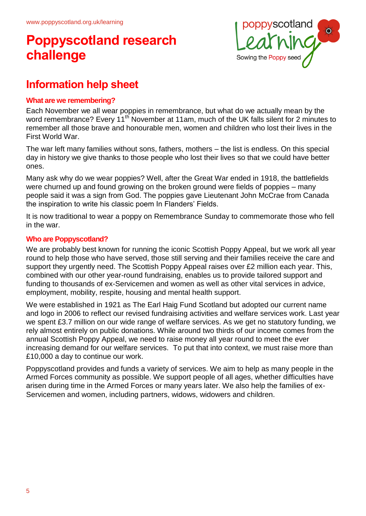

### **Information help sheet**

#### **What are we remembering?**

Each November we all wear poppies in remembrance, but what do we actually mean by the word remembrance? Every 11<sup>th</sup> November at 11am, much of the UK falls silent for 2 minutes to remember all those brave and honourable men, women and children who lost their lives in the First World War.

The war left many families without sons, fathers, mothers – the list is endless. On this special day in history we give thanks to those people who lost their lives so that we could have better ones.

Many ask why do we wear poppies? Well, after the Great War ended in 1918, the battlefields were churned up and found growing on the broken ground were fields of poppies – many people said it was a sign from God. The poppies gave Lieutenant John McCrae from Canada the inspiration to write his classic poem In Flanders' Fields.

It is now traditional to wear a poppy on Remembrance Sunday to commemorate those who fell in the war.

#### **Who are Poppyscotland?**

We are probably best known for running the iconic Scottish Poppy Appeal, but we work all year round to help those who have served, those still serving and their families receive the care and support they urgently need. The Scottish Poppy Appeal raises over £2 million each year. This, combined with our other year-round fundraising, enables us to provide tailored support and funding to thousands of ex-Servicemen and women as well as other vital services in advice, employment, mobility, respite, housing and mental health support.

We were established in 1921 as The Earl Haig Fund Scotland but adopted our current name and logo in 2006 to reflect our revised fundraising activities and welfare services work. Last year we spent £3.7 million on our wide range of welfare services. As we get no statutory funding, we rely almost entirely on public donations. While around two thirds of our income comes from the annual Scottish Poppy Appeal, we need to raise money all year round to meet the ever increasing demand for our welfare services. To put that into context, we must raise more than £10,000 a day to continue our work.

Poppyscotland provides and funds a variety of services. We aim to help as many people in the Armed Forces community as possible. We support people of all ages, whether difficulties have arisen during time in the Armed Forces or many years later. We also help the families of ex-Servicemen and women, including partners, widows, widowers and children.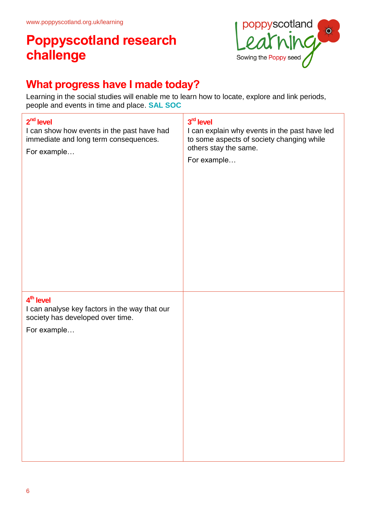

### **What progress have I made today?**

Learning in the social studies will enable me to learn how to locate, explore and link periods, people and events in time and place. **SAL SOC**

| $2nd$ level<br>I can show how events in the past have had<br>immediate and long term consequences.<br>For example         | 3rd level<br>I can explain why events in the past have led<br>to some aspects of society changing while<br>others stay the same.<br>For example |
|---------------------------------------------------------------------------------------------------------------------------|-------------------------------------------------------------------------------------------------------------------------------------------------|
| 4 <sup>th</sup> level<br>I can analyse key factors in the way that our<br>society has developed over time.<br>For example |                                                                                                                                                 |